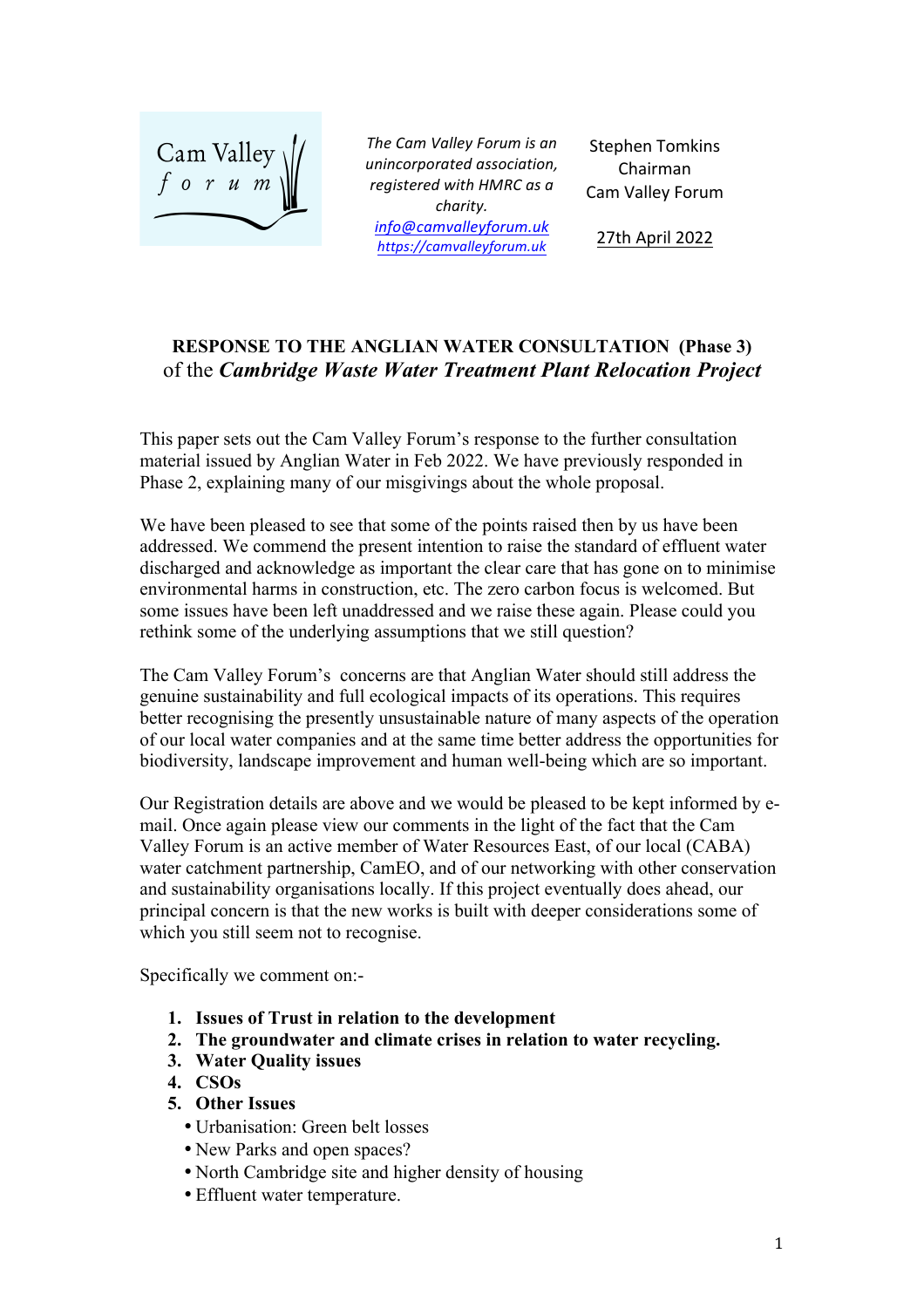

The Cam Valley Forum is an *unincorporated association, registered with HMRC as a charity. info@camvalleyforum.uk https://camvalleyforum.uk*

Stephen Tomkins Chairman Cam Valley Forum

27th April 2022

# **RESPONSE TO THE ANGLIAN WATER CONSULTATION (Phase 3)** of the *Cambridge Waste Water Treatment Plant Relocation Project*

This paper sets out the Cam Valley Forum's response to the further consultation material issued by Anglian Water in Feb 2022. We have previously responded in Phase 2, explaining many of our misgivings about the whole proposal.

We have been pleased to see that some of the points raised then by us have been addressed. We commend the present intention to raise the standard of effluent water discharged and acknowledge as important the clear care that has gone on to minimise environmental harms in construction, etc. The zero carbon focus is welcomed. But some issues have been left unaddressed and we raise these again. Please could you rethink some of the underlying assumptions that we still question?

The Cam Valley Forum's concerns are that Anglian Water should still address the genuine sustainability and full ecological impacts of its operations. This requires better recognising the presently unsustainable nature of many aspects of the operation of our local water companies and at the same time better address the opportunities for biodiversity, landscape improvement and human well-being which are so important.

Our Registration details are above and we would be pleased to be kept informed by email. Once again please view our comments in the light of the fact that the Cam Valley Forum is an active member of Water Resources East, of our local (CABA) water catchment partnership, CamEO, and of our networking with other conservation and sustainability organisations locally. If this project eventually does ahead, our principal concern is that the new works is built with deeper considerations some of which you still seem not to recognise.

Specifically we comment on:-

- **1. Issues of Trust in relation to the development**
- **2. The groundwater and climate crises in relation to water recycling.**
- **3. Water Quality issues**
- **4. CSOs**
- **5. Other Issues**
	- Urbanisation: Green belt losses
	- New Parks and open spaces?
	- North Cambridge site and higher density of housing
	- Effluent water temperature.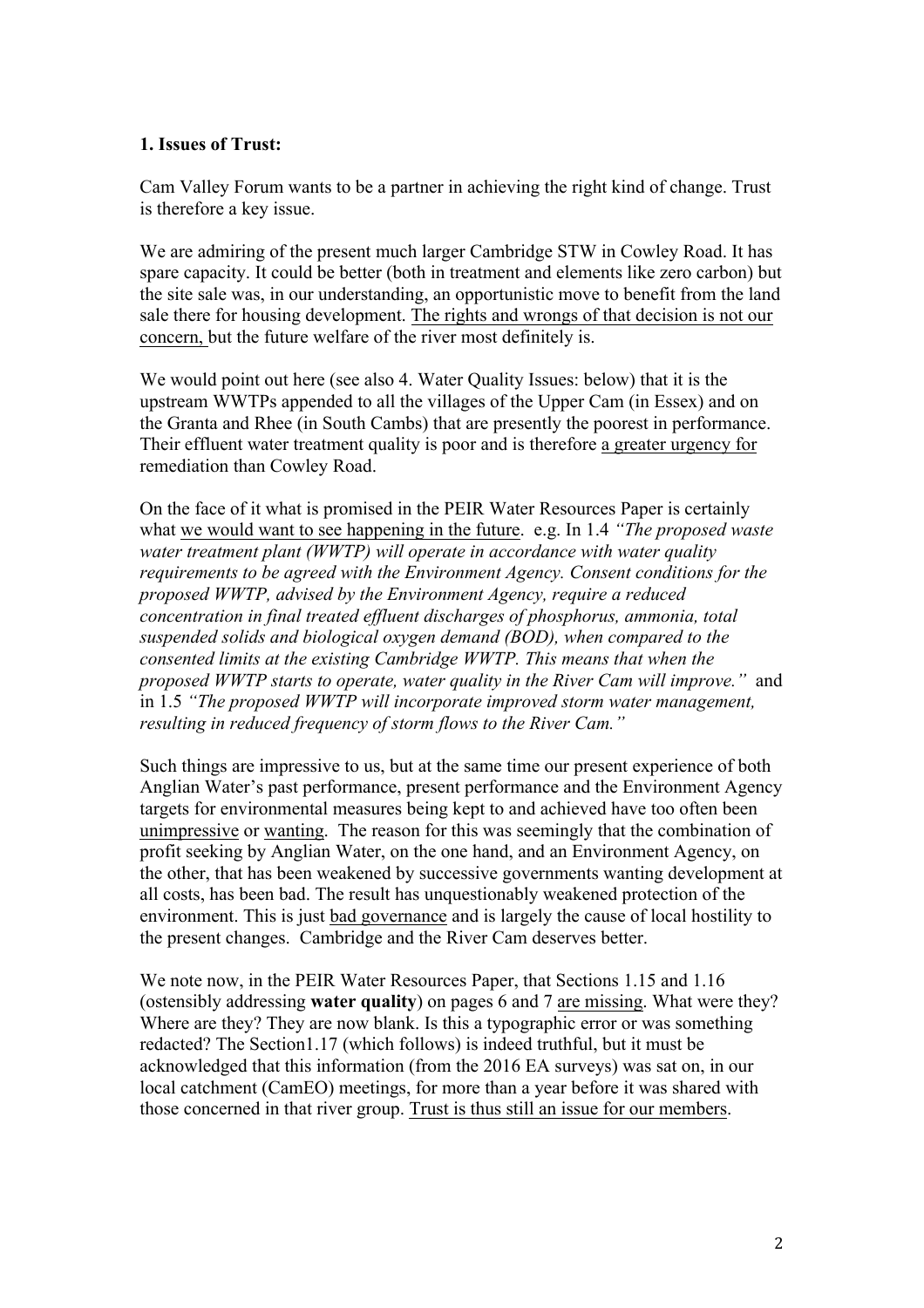### **1. Issues of Trust:**

Cam Valley Forum wants to be a partner in achieving the right kind of change. Trust is therefore a key issue.

We are admiring of the present much larger Cambridge STW in Cowley Road. It has spare capacity. It could be better (both in treatment and elements like zero carbon) but the site sale was, in our understanding, an opportunistic move to benefit from the land sale there for housing development. The rights and wrongs of that decision is not our concern, but the future welfare of the river most definitely is.

We would point out here (see also 4. Water Quality Issues: below) that it is the upstream WWTPs appended to all the villages of the Upper Cam (in Essex) and on the Granta and Rhee (in South Cambs) that are presently the poorest in performance. Their effluent water treatment quality is poor and is therefore a greater urgency for remediation than Cowley Road.

On the face of it what is promised in the PEIR Water Resources Paper is certainly what we would want to see happening in the future. e.g. In 1.4 *"The proposed waste water treatment plant (WWTP) will operate in accordance with water quality requirements to be agreed with the Environment Agency. Consent conditions for the proposed WWTP, advised by the Environment Agency, require a reduced concentration in final treated effluent discharges of phosphorus, ammonia, total suspended solids and biological oxygen demand (BOD), when compared to the consented limits at the existing Cambridge WWTP. This means that when the proposed WWTP starts to operate, water quality in the River Cam will improve."* and in 1.5 *"The proposed WWTP will incorporate improved storm water management, resulting in reduced frequency of storm flows to the River Cam."*

Such things are impressive to us, but at the same time our present experience of both Anglian Water's past performance, present performance and the Environment Agency targets for environmental measures being kept to and achieved have too often been unimpressive or wanting. The reason for this was seemingly that the combination of profit seeking by Anglian Water, on the one hand, and an Environment Agency, on the other, that has been weakened by successive governments wanting development at all costs, has been bad. The result has unquestionably weakened protection of the environment. This is just bad governance and is largely the cause of local hostility to the present changes. Cambridge and the River Cam deserves better.

We note now, in the PEIR Water Resources Paper, that Sections 1.15 and 1.16 (ostensibly addressing **water quality**) on pages 6 and 7 are missing. What were they? Where are they? They are now blank. Is this a typographic error or was something redacted? The Section1.17 (which follows) is indeed truthful, but it must be acknowledged that this information (from the 2016 EA surveys) was sat on, in our local catchment (CamEO) meetings, for more than a year before it was shared with those concerned in that river group. Trust is thus still an issue for our members.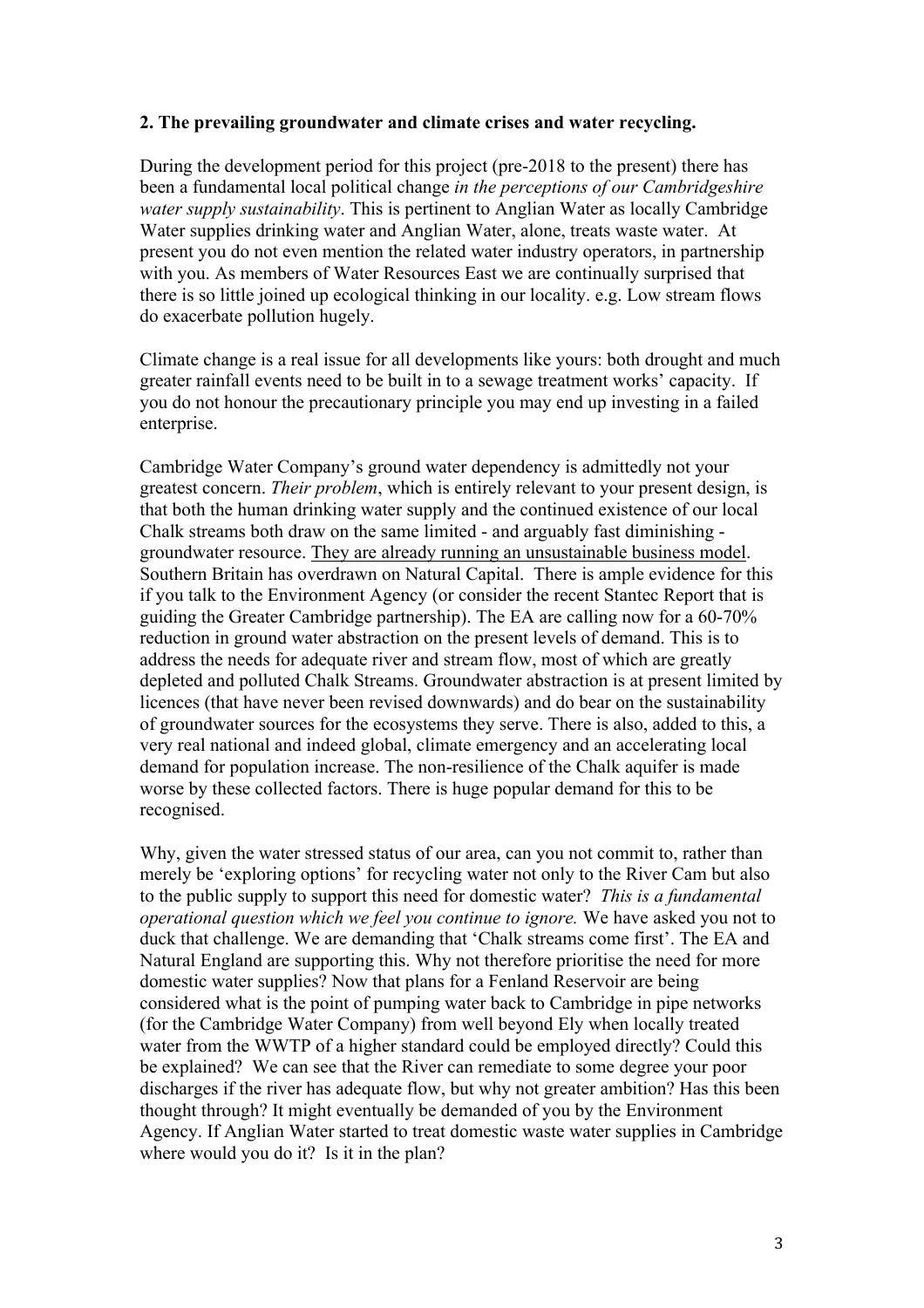### **2. The prevailing groundwater and climate crises and water recycling.**

During the development period for this project (pre-2018 to the present) there has been a fundamental local political change *in the perceptions of our Cambridgeshire water supply sustainability*. This is pertinent to Anglian Water as locally Cambridge Water supplies drinking water and Anglian Water, alone, treats waste water. At present you do not even mention the related water industry operators, in partnership with you. As members of Water Resources East we are continually surprised that there is so little joined up ecological thinking in our locality. e.g. Low stream flows do exacerbate pollution hugely.

Climate change is a real issue for all developments like yours: both drought and much greater rainfall events need to be built in to a sewage treatment works' capacity. If you do not honour the precautionary principle you may end up investing in a failed enterprise.

Cambridge Water Company's ground water dependency is admittedly not your greatest concern. *Their problem*, which is entirely relevant to your present design, is that both the human drinking water supply and the continued existence of our local Chalk streams both draw on the same limited - and arguably fast diminishing groundwater resource. They are already running an unsustainable business model. Southern Britain has overdrawn on Natural Capital. There is ample evidence for this if you talk to the Environment Agency (or consider the recent Stantec Report that is guiding the Greater Cambridge partnership). The EA are calling now for a 60-70% reduction in ground water abstraction on the present levels of demand. This is to address the needs for adequate river and stream flow, most of which are greatly depleted and polluted Chalk Streams. Groundwater abstraction is at present limited by licences (that have never been revised downwards) and do bear on the sustainability of groundwater sources for the ecosystems they serve. There is also, added to this, a very real national and indeed global, climate emergency and an accelerating local demand for population increase. The non-resilience of the Chalk aquifer is made worse by these collected factors. There is huge popular demand for this to be recognised.

Why, given the water stressed status of our area, can you not commit to, rather than merely be 'exploring options' for recycling water not only to the River Cam but also to the public supply to support this need for domestic water? *This is a fundamental operational question which we feel you continue to ignore.* We have asked you not to duck that challenge. We are demanding that 'Chalk streams come first'. The EA and Natural England are supporting this. Why not therefore prioritise the need for more domestic water supplies? Now that plans for a Fenland Reservoir are being considered what is the point of pumping water back to Cambridge in pipe networks (for the Cambridge Water Company) from well beyond Ely when locally treated water from the WWTP of a higher standard could be employed directly? Could this be explained? We can see that the River can remediate to some degree your poor discharges if the river has adequate flow, but why not greater ambition? Has this been thought through? It might eventually be demanded of you by the Environment Agency. If Anglian Water started to treat domestic waste water supplies in Cambridge where would you do it? Is it in the plan?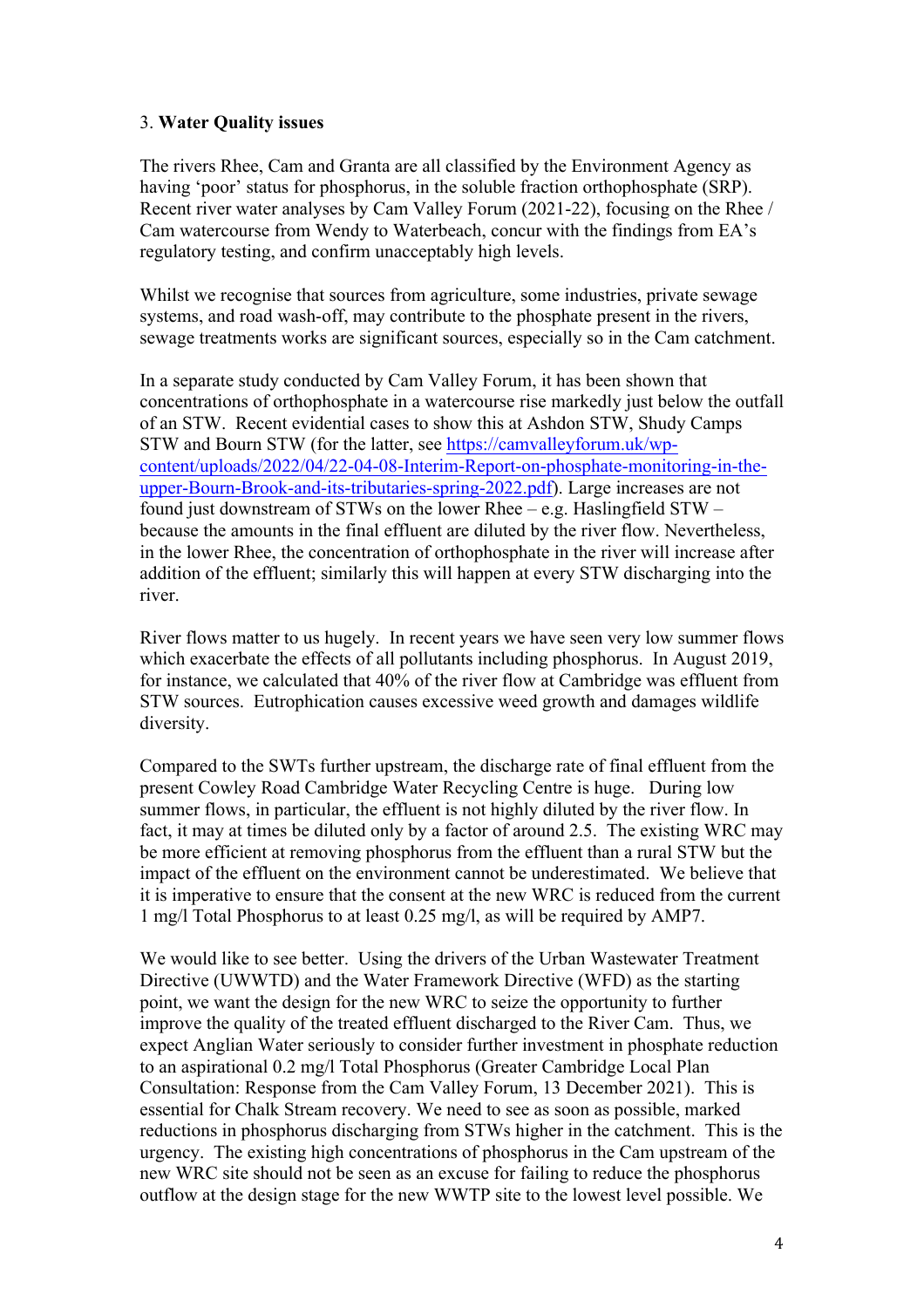### 3. **Water Quality issues**

The rivers Rhee, Cam and Granta are all classified by the Environment Agency as having 'poor' status for phosphorus, in the soluble fraction orthophosphate (SRP). Recent river water analyses by Cam Valley Forum (2021-22), focusing on the Rhee / Cam watercourse from Wendy to Waterbeach, concur with the findings from EA's regulatory testing, and confirm unacceptably high levels.

Whilst we recognise that sources from agriculture, some industries, private sewage systems, and road wash-off, may contribute to the phosphate present in the rivers, sewage treatments works are significant sources, especially so in the Cam catchment.

In a separate study conducted by Cam Valley Forum, it has been shown that concentrations of orthophosphate in a watercourse rise markedly just below the outfall of an STW. Recent evidential cases to show this at Ashdon STW, Shudy Camps STW and Bourn STW (for the latter, see https://camvalleyforum.uk/wpcontent/uploads/2022/04/22-04-08-Interim-Report-on-phosphate-monitoring-in-theupper-Bourn-Brook-and-its-tributaries-spring-2022.pdf). Large increases are not found just downstream of STWs on the lower Rhee – e.g. Haslingfield  $STW$ because the amounts in the final effluent are diluted by the river flow. Nevertheless, in the lower Rhee, the concentration of orthophosphate in the river will increase after addition of the effluent; similarly this will happen at every STW discharging into the river.

River flows matter to us hugely. In recent years we have seen very low summer flows which exacerbate the effects of all pollutants including phosphorus. In August 2019, for instance, we calculated that 40% of the river flow at Cambridge was effluent from STW sources. Eutrophication causes excessive weed growth and damages wildlife diversity.

Compared to the SWTs further upstream, the discharge rate of final effluent from the present Cowley Road Cambridge Water Recycling Centre is huge. During low summer flows, in particular, the effluent is not highly diluted by the river flow. In fact, it may at times be diluted only by a factor of around 2.5. The existing WRC may be more efficient at removing phosphorus from the effluent than a rural STW but the impact of the effluent on the environment cannot be underestimated. We believe that it is imperative to ensure that the consent at the new WRC is reduced from the current 1 mg/l Total Phosphorus to at least 0.25 mg/l, as will be required by AMP7.

We would like to see better. Using the drivers of the Urban Wastewater Treatment Directive (UWWTD) and the Water Framework Directive (WFD) as the starting point, we want the design for the new WRC to seize the opportunity to further improve the quality of the treated effluent discharged to the River Cam. Thus, we expect Anglian Water seriously to consider further investment in phosphate reduction to an aspirational 0.2 mg/l Total Phosphorus (Greater Cambridge Local Plan Consultation: Response from the Cam Valley Forum, 13 December 2021). This is essential for Chalk Stream recovery. We need to see as soon as possible, marked reductions in phosphorus discharging from STWs higher in the catchment. This is the urgency. The existing high concentrations of phosphorus in the Cam upstream of the new WRC site should not be seen as an excuse for failing to reduce the phosphorus outflow at the design stage for the new WWTP site to the lowest level possible. We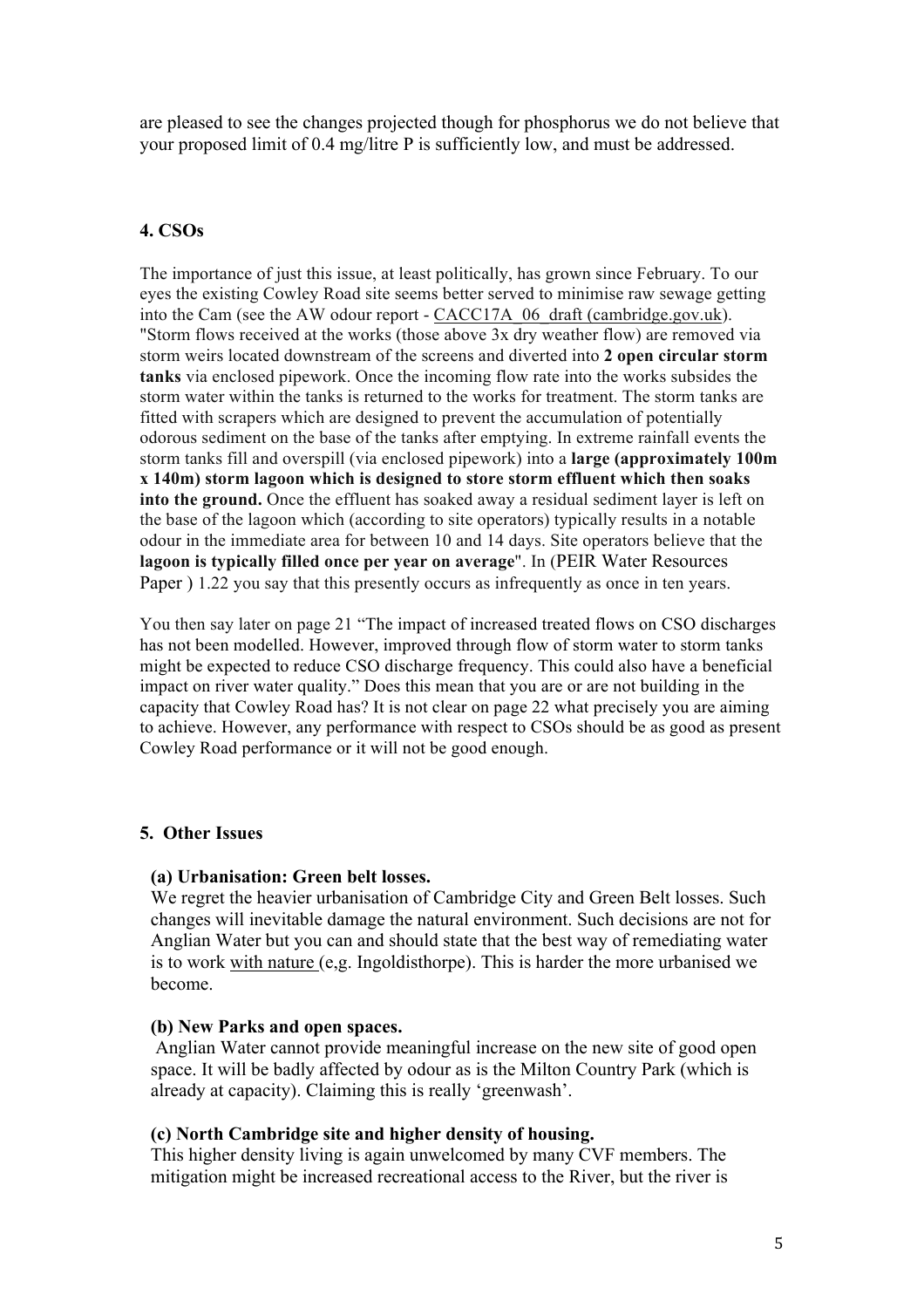are pleased to see the changes projected though for phosphorus we do not believe that your proposed limit of 0.4 mg/litre P is sufficiently low, and must be addressed.

# **4. CSOs**

The importance of just this issue, at least politically, has grown since February. To our eyes the existing Cowley Road site seems better served to minimise raw sewage getting into the Cam (see the AW odour report - CACC17A\_06\_draft (cambridge.gov.uk). "Storm flows received at the works (those above  $3x$  dry weather flow) are removed via storm weirs located downstream of the screens and diverted into **2 open circular storm tanks** via enclosed pipework. Once the incoming flow rate into the works subsides the storm water within the tanks is returned to the works for treatment. The storm tanks are fitted with scrapers which are designed to prevent the accumulation of potentially odorous sediment on the base of the tanks after emptying. In extreme rainfall events the storm tanks fill and overspill (via enclosed pipework) into a **large (approximately 100m x 140m) storm lagoon which is designed to store storm effluent which then soaks into the ground.** Once the effluent has soaked away a residual sediment layer is left on the base of the lagoon which (according to site operators) typically results in a notable odour in the immediate area for between 10 and 14 days. Site operators believe that the **lagoon is typically filled once per year on average**". In (PEIR Water Resources Paper ) 1.22 you say that this presently occurs as infrequently as once in ten years.

You then say later on page 21 "The impact of increased treated flows on CSO discharges has not been modelled. However, improved through flow of storm water to storm tanks might be expected to reduce CSO discharge frequency. This could also have a beneficial impact on river water quality." Does this mean that you are or are not building in the capacity that Cowley Road has? It is not clear on page 22 what precisely you are aiming to achieve. However, any performance with respect to CSOs should be as good as present Cowley Road performance or it will not be good enough.

# **5. Other Issues**

#### **(a) Urbanisation: Green belt losses.**

We regret the heavier urbanisation of Cambridge City and Green Belt losses. Such changes will inevitable damage the natural environment. Such decisions are not for Anglian Water but you can and should state that the best way of remediating water is to work with nature (e,g. Ingoldisthorpe). This is harder the more urbanised we become.

#### **(b) New Parks and open spaces.**

Anglian Water cannot provide meaningful increase on the new site of good open space. It will be badly affected by odour as is the Milton Country Park (which is already at capacity). Claiming this is really 'greenwash'.

#### **(c) North Cambridge site and higher density of housing.**

This higher density living is again unwelcomed by many CVF members. The mitigation might be increased recreational access to the River, but the river is